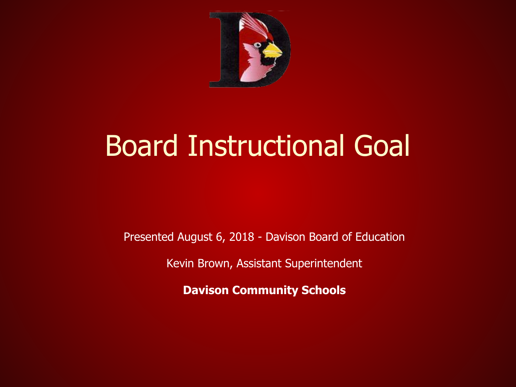

#### Board Instructional Goal

Presented August 6, 2018 - Davison Board of Education

Kevin Brown, Assistant Superintendent

**Davison Community Schools**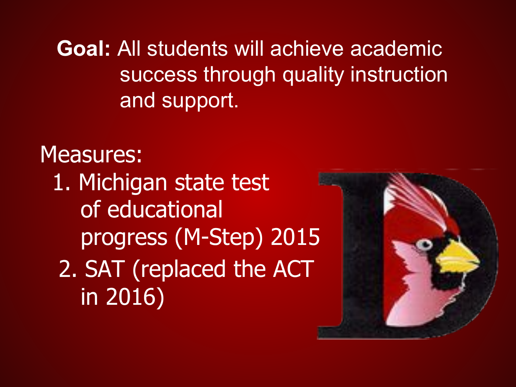**Goal:** All students will achieve academic success through quality instruction and support.

Measures: 1. Michigan state test of educational progress (M-Step) 2015 2. SAT (replaced the ACT in 2016)

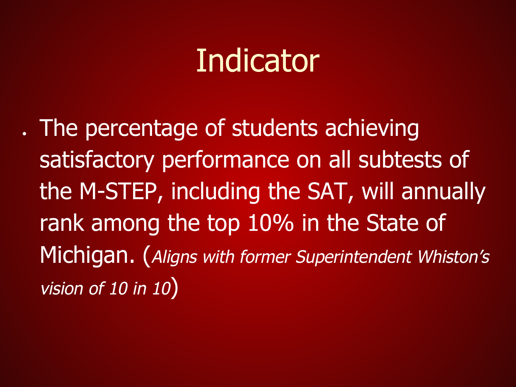. The percentage of students achieving satisfactory performance on all subtests of the M-STEP, including the SAT, will annually rank among the top 10% in the State of Michigan. (Aligns with former Superintendent Whiston's vision of 10 in 10)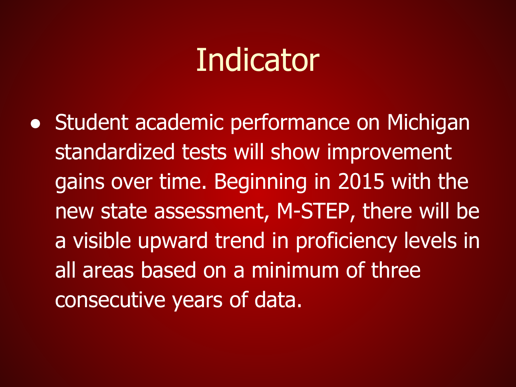• Student academic performance on Michigan standardized tests will show improvement gains over time. Beginning in 2015 with the new state assessment, M-STEP, there will be a visible upward trend in proficiency levels in all areas based on a minimum of three consecutive years of data.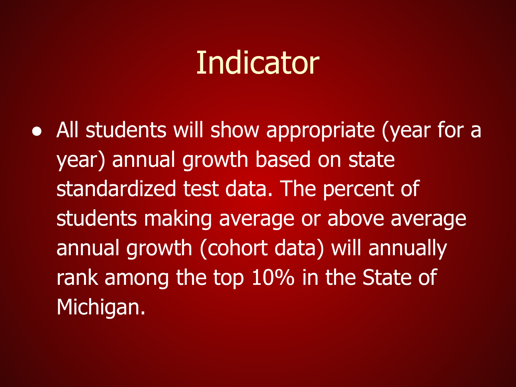• All students will show appropriate (year for a year) annual growth based on state standardized test data. The percent of students making average or above average annual growth (cohort data) will annually rank among the top 10% in the State of Michigan.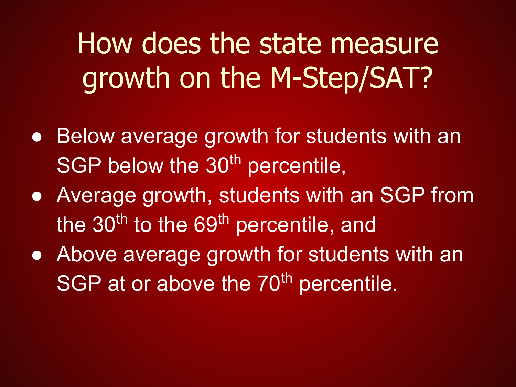How does the state measure growth on the M-Step/SAT?

- Below average growth for students with an SGP below the 30<sup>th</sup> percentile,
- Average growth, students with an SGP from the  $30<sup>th</sup>$  to the  $69<sup>th</sup>$  percentile, and
- Above average growth for students with an SGP at or above the 70<sup>th</sup> percentile.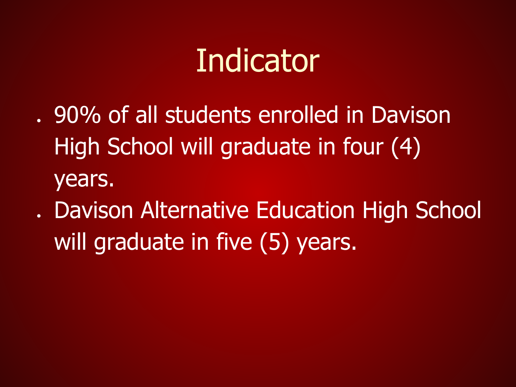- . 90% of all students enrolled in Davison High School will graduate in four (4) years.
- . Davison Alternative Education High School will graduate in five (5) years.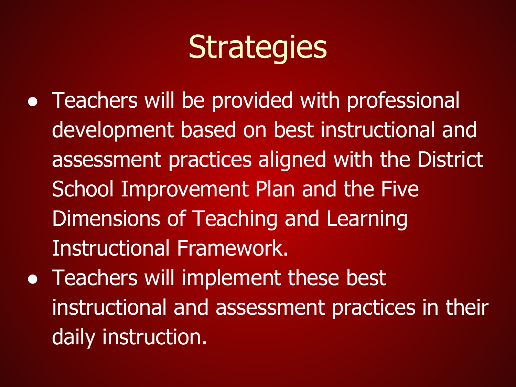- Teachers will be provided with professional development based on best instructional and assessment practices aligned with the District School Improvement Plan and the Five Dimensions of Teaching and Learning Instructional Framework.
- Teachers will implement these best instructional and assessment practices in their daily instruction.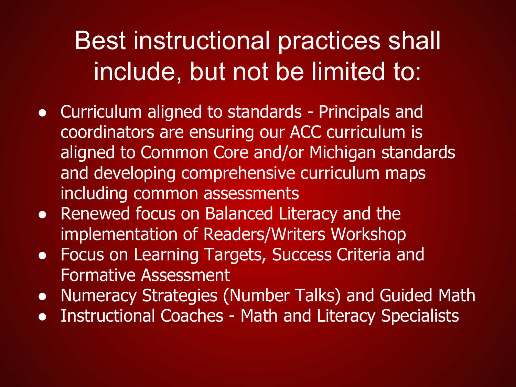#### Best instructional practices shall include, but not be limited to:

- Curriculum aligned to standards Principals and coordinators are ensuring our ACC curriculum is aligned to Common Core and/or Michigan standards and developing comprehensive curriculum maps including common assessments
- Renewed focus on Balanced Literacy and the implementation of Readers/Writers Workshop
- **Focus on Learning Targets, Success Criteria and** Formative Assessment
- Numeracy Strategies (Number Talks) and Guided Math
- Instructional Coaches Math and Literacy Specialists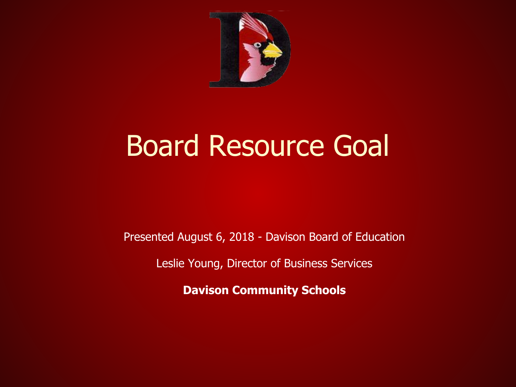

#### Board Resource Goal

Presented August 6, 2018 - Davison Board of Education

Leslie Young, Director of Business Services

**Davison Community Schools**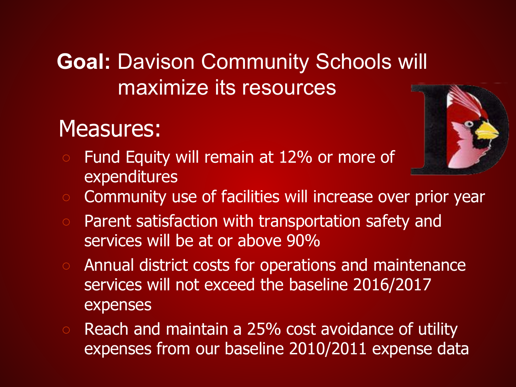#### **Goal:** Davison Community Schools will maximize its resources

#### Measures:

○ Fund Equity will remain at 12% or more of expenditures



- Community use of facilities will increase over prior year
- Parent satisfaction with transportation safety and services will be at or above 90%
- Annual district costs for operations and maintenance services will not exceed the baseline 2016/2017 expenses
- Reach and maintain a 25% cost avoidance of utility expenses from our baseline 2010/2011 expense data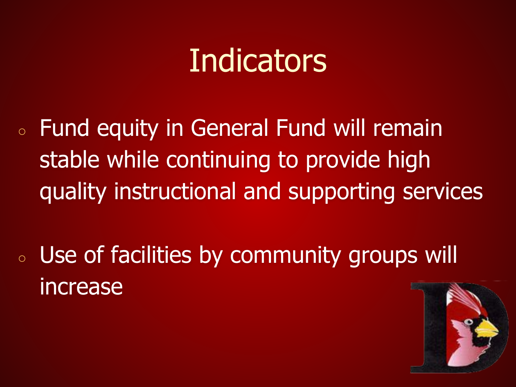- Fund equity in General Fund will remain stable while continuing to provide high quality instructional and supporting services
- Use of facilities by community groups will increase

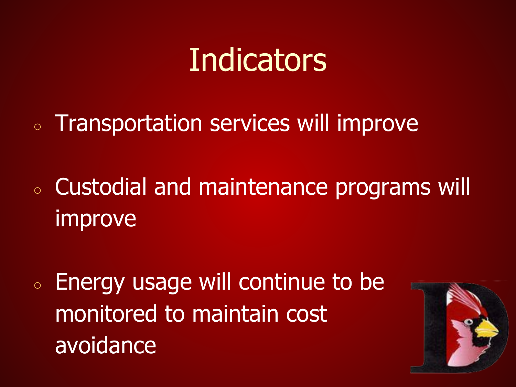○ Transportation services will improve

- Custodial and maintenance programs will improve
- Energy usage will continue to be monitored to maintain cost avoidance

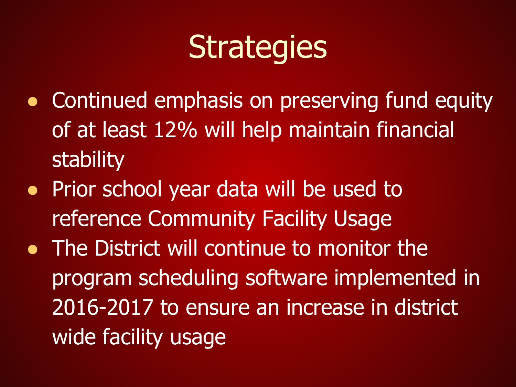- Continued emphasis on preserving fund equity of at least 12% will help maintain financial stability
- Prior school year data will be used to reference Community Facility Usage
- The District will continue to monitor the program scheduling software implemented in 2016-2017 to ensure an increase in district wide facility usage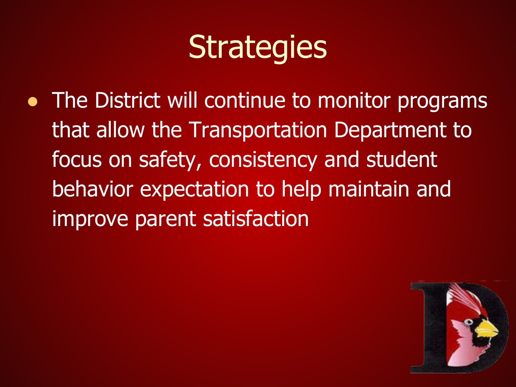• The District will continue to monitor programs that allow the Transportation Department to focus on safety, consistency and student behavior expectation to help maintain and improve parent satisfaction

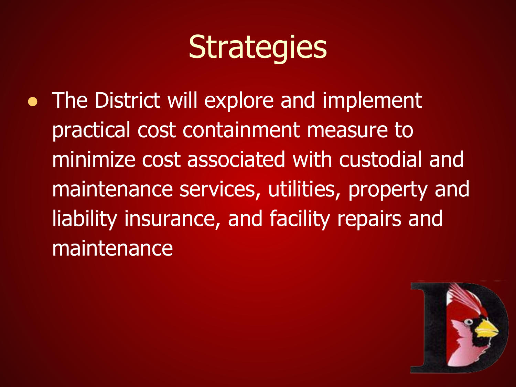• The District will explore and implement practical cost containment measure to minimize cost associated with custodial and maintenance services, utilities, property and liability insurance, and facility repairs and maintenance

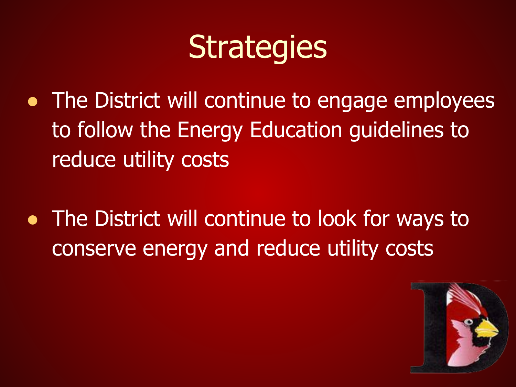- The District will continue to engage employees to follow the Energy Education guidelines to reduce utility costs
- The District will continue to look for ways to conserve energy and reduce utility costs

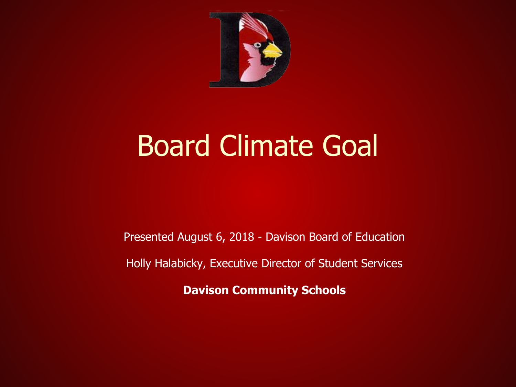

#### Board Climate Goal

Presented August 6, 2018 - Davison Board of Education

Holly Halabicky, Executive Director of Student Services

**Davison Community Schools**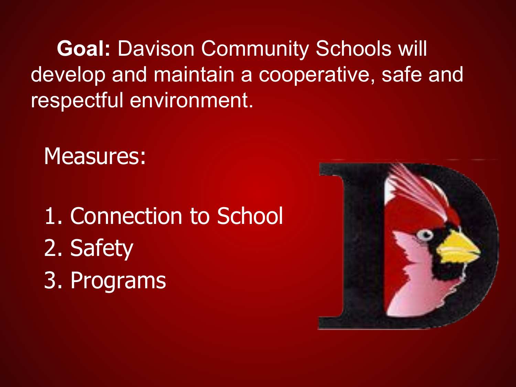**Goal:** Davison Community Schools will develop and maintain a cooperative, safe and respectful environment.

Measures:

1. Connection to School 2. Safety 3. Programs

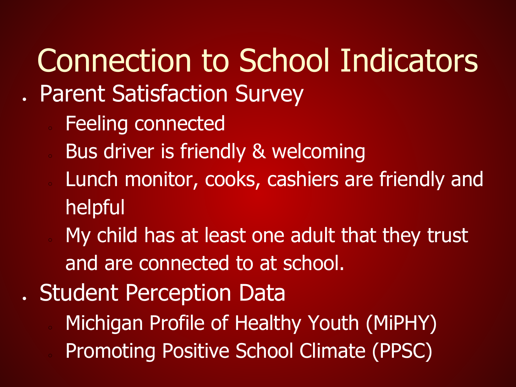# Connection to School Indicators

- . Parent Satisfaction Survey
	- Feeling connected
	- Bus driver is friendly & welcoming
	- Lunch monitor, cooks, cashiers are friendly and helpful
	- My child has at least one adult that they trust and are connected to at school.
- . Student Perception Data
	- Michigan Profile of Healthy Youth (MiPHY)
	- Promoting Positive School Climate (PPSC)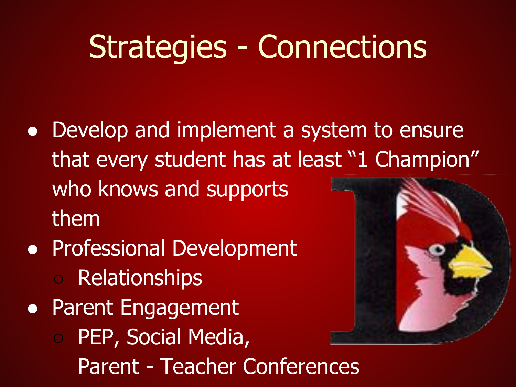#### Strategies - Connections

- Develop and implement a system to ensure that every student has at least "1 Champion" who knows and supports them
- Professional Development ○ Relationships
- Parent Engagement
	- PEP, Social Media, Parent - Teacher Conferences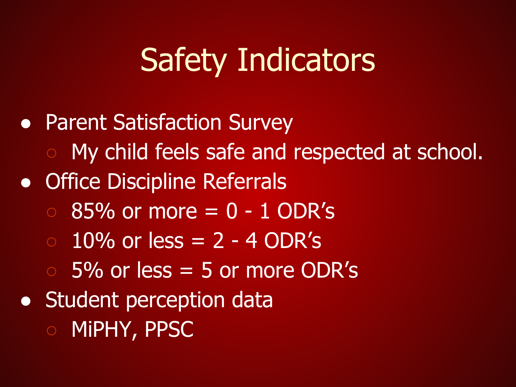## Safety Indicators

• Parent Satisfaction Survey ○ My child feels safe and respected at school. • Office Discipline Referrals  $\circ$  85% or more = 0 - 1 ODR's  $\circ$  10% or less = 2 - 4 ODR's  $\overline{0.5\%}$  or less  $= 5$  or more ODR's **• Student perception data** ○ MiPHY, PPSC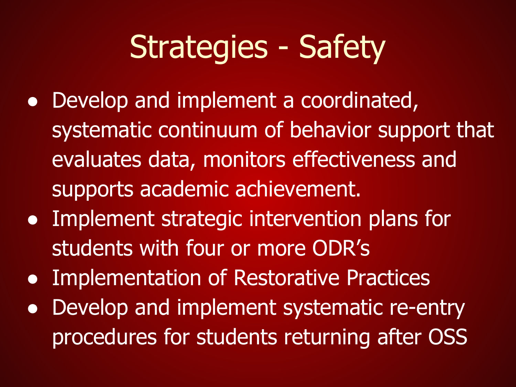## Strategies - Safety

- Develop and implement a coordinated, systematic continuum of behavior support that evaluates data, monitors effectiveness and supports academic achievement.
- Implement strategic intervention plans for students with four or more ODR's
- Implementation of Restorative Practices
- Develop and implement systematic re-entry procedures for students returning after OSS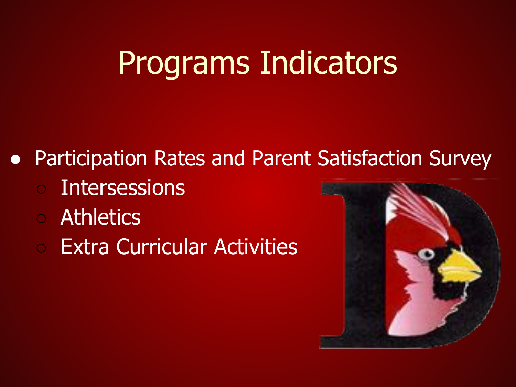## Programs Indicators

- Participation Rates and Parent Satisfaction Survey
	- Intersessions
	- Athletics
	- Extra Curricular Activities

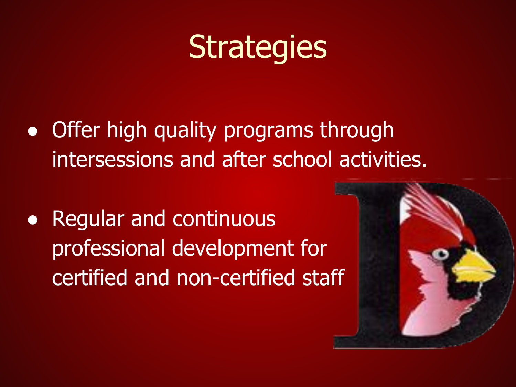- Offer high quality programs through intersessions and after school activities.
- Regular and continuous professional development for certified and non-certified staff